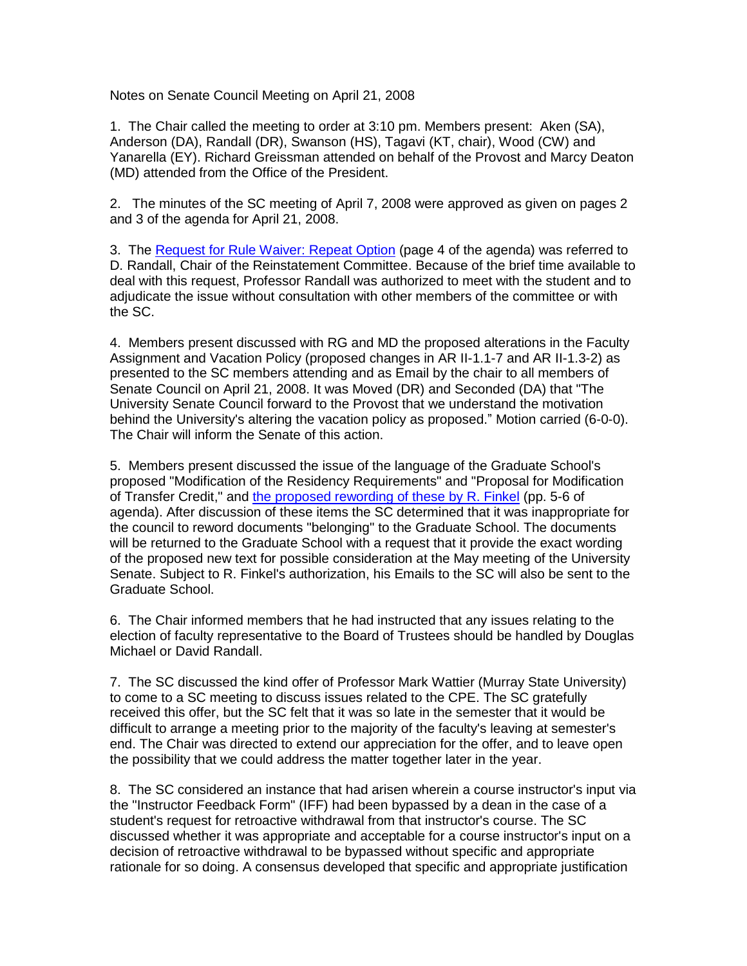Notes on Senate Council Meeting on April 21, 2008

1. The Chair called the meeting to order at 3:10 pm. Members present: Aken (SA), Anderson (DA), Randall (DR), Swanson (HS), Tagavi (KT, chair), Wood (CW) and Yanarella (EY). Richard Greissman attended on behalf of the Provost and Marcy Deaton (MD) attended from the Office of the President.

2. The minutes of the SC meeting of April 7, 2008 were approved as given on pages 2 and 3 of the agenda for April 21, 2008.

3. The [Request for Rule Waiver: Repeat Option](http://www.uky.edu/USC/New/files/2008_3-24_3-31_4-7_4-24/Request%20for%20Repeat%20Option%20-%20AE--.pdf) (page 4 of the agenda) was referred to D. Randall, Chair of the Reinstatement Committee. Because of the brief time available to deal with this request, Professor Randall was authorized to meet with the student and to adjudicate the issue without consultation with other members of the committee or with the SC.

4. Members present discussed with RG and MD the proposed alterations in the Faculty Assignment and Vacation Policy (proposed changes in AR II-1.1-7 and AR II-1.3-2) as presented to the SC members attending and as Email by the chair to all members of Senate Council on April 21, 2008. It was Moved (DR) and Seconded (DA) that "The University Senate Council forward to the Provost that we understand the motivation behind the University's altering the vacation policy as proposed." Motion carried (6-0-0). The Chair will inform the Senate of this action.

5. Members present discussed the issue of the language of the Graduate School's proposed "Modification of the Residency Requirements" and "Proposal for Modification of Transfer Credit," and [the proposed rewording of these by R. Finkel](http://www.uky.edu/USC/New/files/2008_3-24_3-31_4-7_4-24/Correction%20to%20Proposals-%20email%20from%20Finkel.pdf) (pp. 5-6 of agenda). After discussion of these items the SC determined that it was inappropriate for the council to reword documents "belonging" to the Graduate School. The documents will be returned to the Graduate School with a request that it provide the exact wording of the proposed new text for possible consideration at the May meeting of the University Senate. Subject to R. Finkel's authorization, his Emails to the SC will also be sent to the Graduate School.

6. The Chair informed members that he had instructed that any issues relating to the election of faculty representative to the Board of Trustees should be handled by Douglas Michael or David Randall.

7. The SC discussed the kind offer of Professor Mark Wattier (Murray State University) to come to a SC meeting to discuss issues related to the CPE. The SC gratefully received this offer, but the SC felt that it was so late in the semester that it would be difficult to arrange a meeting prior to the majority of the faculty's leaving at semester's end. The Chair was directed to extend our appreciation for the offer, and to leave open the possibility that we could address the matter together later in the year.

8. The SC considered an instance that had arisen wherein a course instructor's input via the "Instructor Feedback Form" (IFF) had been bypassed by a dean in the case of a student's request for retroactive withdrawal from that instructor's course. The SC discussed whether it was appropriate and acceptable for a course instructor's input on a decision of retroactive withdrawal to be bypassed without specific and appropriate rationale for so doing. A consensus developed that specific and appropriate justification